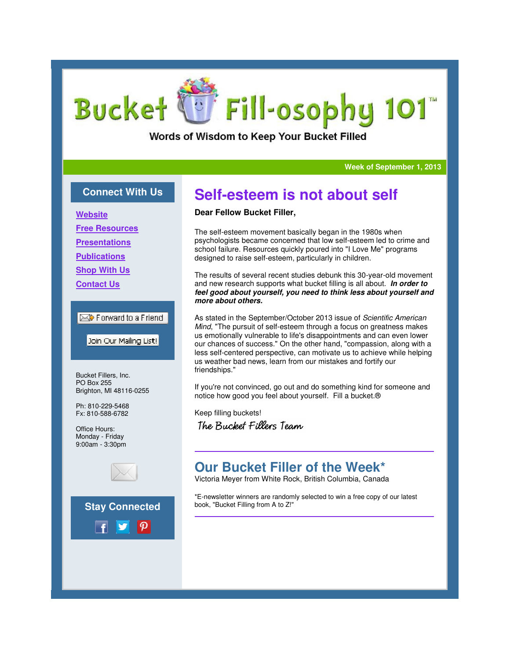# Fill-osophy 101 **Bucket**

Words of Wisdom to Keep Your Bucket Filled

**Week of September 1, 2013**

### **Connect With Us**

**Website**

**Free Resources**

**Presentations**

**Publications**

**Shop With Us**

**Contact Us**

#### Forward to a Friend

Join Our Mailing List!

Bucket Fillers, Inc. PO Box 255 Brighton, MI 48116-0255

Ph: 810-229-5468 Fx: 810-588-6782

Office Hours: Monday - Friday 9:00am - 3:30pm



**Stay Connected**



#### **Dear Fellow Bucket Filler,**

The self-esteem movement basically began in the 1980s when psychologists became concerned that low self-esteem led to crime and school failure. Resources quickly poured into "I Love Me" programs designed to raise self-esteem, particularly in children.

The results of several recent studies debunk this 30-year-old movement and new research supports what bucket filling is all about. **In order to feel good about yourself, you need to think less about yourself and more about others.**

As stated in the September/October 2013 issue of Scientific American Mind, "The pursuit of self-esteem through a focus on greatness makes us emotionally vulnerable to life's disappointments and can even lower our chances of success." On the other hand, "compassion, along with a less self-centered perspective, can motivate us to achieve while helping us weather bad news, learn from our mistakes and fortify our friendships."

If you're not convinced, go out and do something kind for someone and notice how good you feel about yourself. Fill a bucket.®

Keep filling buckets! The Bucket Fillers Team

## **Our Bucket Filler of the Week\***

Victoria Meyer from White Rock, British Columbia, Canada

\*E-newsletter winners are randomly selected to win a free copy of our latest book, "Bucket Filling from A to Z!"